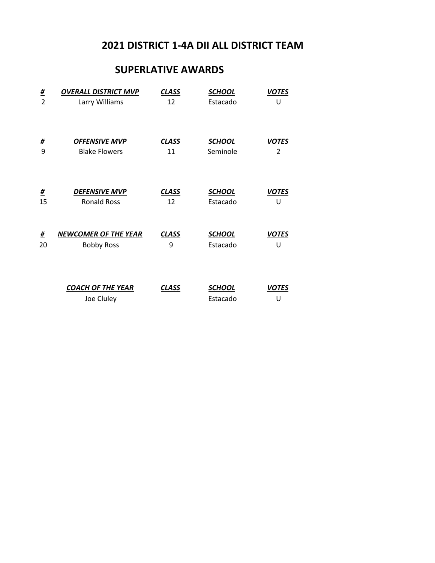### **SUPERLATIVE AWARDS**

| <u>#</u>       | <b>OVERALL DISTRICT MVP</b>            | <b>CLASS</b> | <b>SCHOOL</b>             | <b>VOTES</b>      |
|----------------|----------------------------------------|--------------|---------------------------|-------------------|
| $\overline{2}$ | Larry Williams                         | 12           | Estacado                  | U                 |
| <u>#</u>       | <b>OFFENSIVE MVP</b>                   | <b>CLASS</b> | <b>SCHOOL</b>             | <b>VOTES</b>      |
| 9              | <b>Blake Flowers</b>                   | 11           | Seminole                  | 2                 |
| <u>#</u>       | <b>DEFENSIVE MVP</b>                   | <b>CLASS</b> | <b>SCHOOL</b>             | <b>VOTES</b>      |
| 15             | <b>Ronald Ross</b>                     | 12           | Estacado                  | U                 |
| <u>#</u>       | <b>NEWCOMER OF THE YEAR</b>            | <b>CLASS</b> | <b>SCHOOL</b>             | <b>VOTES</b>      |
| 20             | <b>Bobby Ross</b>                      | 9            | Estacado                  | U                 |
|                | <b>COACH OF THE YEAR</b><br>Joe Cluley | <b>CLASS</b> | <b>SCHOOL</b><br>Estacado | <b>VOTES</b><br>U |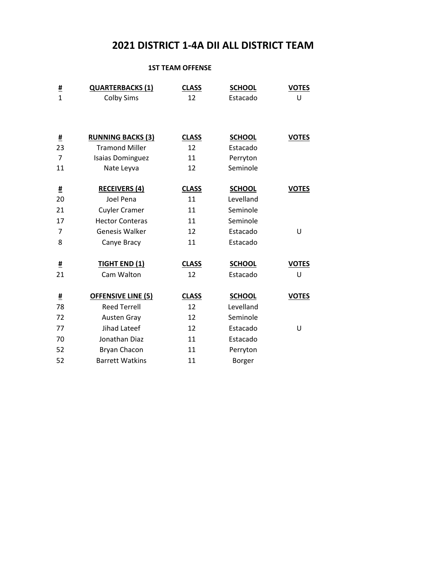#### **1ST TEAM OFFENSE**

| <u>#</u><br>$\overline{1}$ | <b>QUARTERBACKS (1)</b>   | <b>CLASS</b> | <b>SCHOOL</b> | <b>VOTES</b> |
|----------------------------|---------------------------|--------------|---------------|--------------|
|                            | <b>Colby Sims</b>         | 12           | Estacado      | U            |
|                            |                           |              |               |              |
| <u>#</u>                   | <b>RUNNING BACKS (3)</b>  | <b>CLASS</b> | <b>SCHOOL</b> | <b>VOTES</b> |
| 23                         | <b>Tramond Miller</b>     | 12           | Estacado      |              |
| $\overline{7}$             | <b>Isaias Dominguez</b>   | 11           | Perryton      |              |
| 11                         | Nate Leyva                | 12           | Seminole      |              |
| <u>#</u>                   | <b>RECEIVERS (4)</b>      | <b>CLASS</b> | <b>SCHOOL</b> | <b>VOTES</b> |
| 20                         | Joel Pena                 | 11           | Levelland     |              |
| 21                         | <b>Cuyler Cramer</b>      | 11           | Seminole      |              |
| 17                         | <b>Hector Conteras</b>    | 11           | Seminole      |              |
| 7                          | <b>Genesis Walker</b>     | 12           | Estacado      | U            |
| 8                          | Canye Bracy               | 11           | Estacado      |              |
| <u>#</u>                   | <b>TIGHT END (1)</b>      | <b>CLASS</b> | <b>SCHOOL</b> | <b>VOTES</b> |
| 21                         | Cam Walton                | 12           | Estacado      | U            |
| #                          | <b>OFFENSIVE LINE (5)</b> | <b>CLASS</b> | <b>SCHOOL</b> | <b>VOTES</b> |
| 78                         | <b>Reed Terrell</b>       | 12           | Levelland     |              |
| 72                         | Austen Gray               | 12           | Seminole      |              |
| 77                         | Jihad Lateef              | 12           | Estacado      | U            |
| 70                         | Jonathan Diaz             | 11           | Estacado      |              |
| 52                         | Bryan Chacon              | 11           | Perryton      |              |
| 52                         | <b>Barrett Watkins</b>    | 11           | Borger        |              |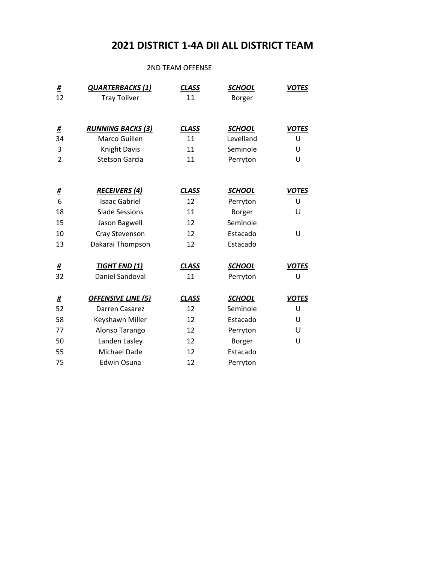#### 2ND TEAM OFFENSE

| #<br>12        | <b>QUARTERBACKS(1)</b><br><b>Tray Toliver</b> | <b>CLASS</b><br>11 | <b>SCHOOL</b><br>Borger | <b>VOTES</b> |
|----------------|-----------------------------------------------|--------------------|-------------------------|--------------|
|                |                                               |                    |                         |              |
| <u>#</u>       | <b>RUNNING BACKS (3)</b>                      | <b>CLASS</b>       | <b>SCHOOL</b>           | <b>VOTES</b> |
| 34             | Marco Guillen                                 | 11                 | Levelland               | U            |
| 3              | <b>Knight Davis</b>                           | 11                 | Seminole                | U            |
| $\overline{2}$ | <b>Stetson Garcia</b>                         | 11                 | Perryton                | U            |
|                |                                               |                    |                         |              |
| <u>#</u>       | <b>RECEIVERS (4)</b>                          | <b>CLASS</b>       | <b>SCHOOL</b>           | <b>VOTES</b> |
| 6              | <b>Isaac Gabriel</b>                          | 12                 | Perryton                | U            |
| 18             | <b>Slade Sessions</b>                         | 11                 | Borger                  | U            |
| 15             | Jason Bagwell                                 | 12                 | Seminole                |              |
| 10             | Cray Stevenson                                | 12                 | Estacado                | U            |
| 13             | Dakarai Thompson                              | 12                 | Estacado                |              |
| <u>#</u>       | <b>TIGHT END (1)</b>                          | <b>CLASS</b>       | <b>SCHOOL</b>           | <b>VOTES</b> |
| 32             | Daniel Sandoval                               | 11                 | Perryton                | U            |
| <u>#</u>       | <b>OFFENSIVE LINE (5)</b>                     | <b>CLASS</b>       | <b>SCHOOL</b>           | <b>VOTES</b> |
| 52             | Darren Casarez                                | 12                 | Seminole                | U            |
| 58             | Keyshawn Miller                               | 12                 | Estacado                | U            |
| 77             | Alonso Tarango                                | 12                 | Perryton                | U            |
| 50             | Landen Lasley                                 | 12                 | Borger                  | U            |
| 55             | Michael Dade                                  | 12                 | Estacado                |              |
| 75             | Edwin Osuna                                   | 12                 | Perryton                |              |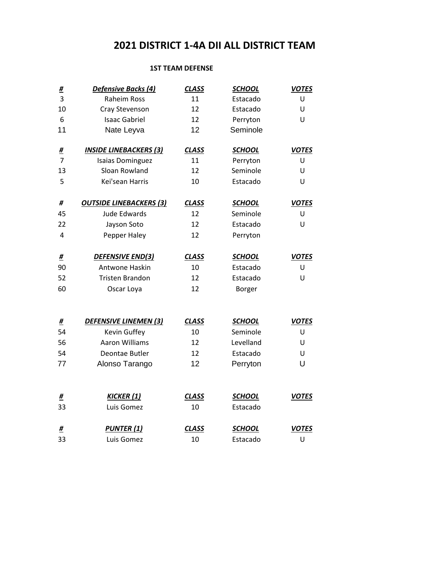### **1ST TEAM DEFENSE**

| <u>#</u>                   | <b>Defensive Backs (4)</b>     | <b>CLASS</b> | <b>SCHOOL</b> | <b>VOTES</b> |
|----------------------------|--------------------------------|--------------|---------------|--------------|
| 3                          | <b>Raheim Ross</b>             | 11           | Estacado      | U            |
| 10                         | Cray Stevenson                 | 12           | Estacado      | U            |
| 6                          | <b>Isaac Gabriel</b>           | 12           | Perryton      | U            |
| 11                         | Nate Leyva                     | 12           | Seminole      |              |
|                            | <b>INSIDE LINEBACKERS (3)</b>  | <b>CLASS</b> | <b>SCHOOL</b> | <b>VOTES</b> |
| <u>#</u><br>$\overline{7}$ | <b>Isaias Dominguez</b>        | 11           | Perryton      | U            |
| 13                         | Sloan Rowland                  | 12           | Seminole      | U            |
| 5                          | Kei'sean Harris                |              |               |              |
|                            |                                | 10           | Estacado      | U            |
| #                          | <b>OUTSIDE LINEBACKERS (3)</b> | <b>CLASS</b> | <b>SCHOOL</b> | <b>VOTES</b> |
| 45                         | <b>Jude Edwards</b>            | 12           | Seminole      | U            |
| 22                         | Jayson Soto                    | 12           | Estacado      | U            |
| 4                          | Pepper Haley                   | 12           | Perryton      |              |
| <u>#</u>                   | DEFENSIVE END(3)               | <b>CLASS</b> | <b>SCHOOL</b> | <b>VOTES</b> |
| 90                         | Antwone Haskin                 | 10           | Estacado      | U            |
| 52                         | <b>Tristen Brandon</b>         | 12           | Estacado      | U            |
| 60                         | Oscar Loya                     | 12           |               |              |
|                            |                                |              | Borger        |              |
|                            |                                |              |               |              |
| <u>#</u>                   | <b>DEFENSIVE LINEMEN (3)</b>   | <b>CLASS</b> | <b>SCHOOL</b> | <b>VOTES</b> |
| 54                         | Kevin Guffey                   | 10           | Seminole      | U            |
| 56                         | <b>Aaron Williams</b>          | 12           | Levelland     | U            |
| 54                         | Deontae Butler                 | 12           | Estacado      | U            |
| 77                         | Alonso Tarango                 | 12           | Perryton      | U            |
|                            |                                |              |               |              |
| <u>#</u>                   | <b>KICKER</b> (1)              | <b>CLASS</b> | <b>SCHOOL</b> | <b>VOTES</b> |
| 33                         | Luis Gomez                     | 10           | Estacado      |              |
| <u>#</u>                   | <b>PUNTER (1)</b>              | <b>CLASS</b> | <b>SCHOOL</b> | <b>VOTES</b> |
| 33                         | Luis Gomez                     | 10           | Estacado      | U            |